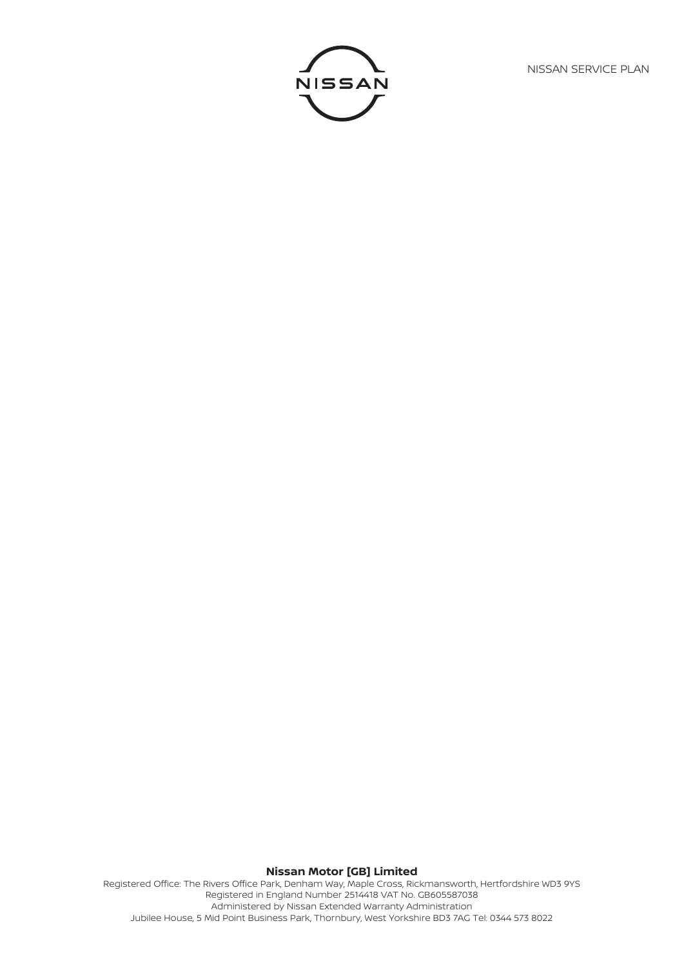NISSAN SERVICE PLAN



# **Nissan Motor [GB] Limited** Registered Office: The Rivers Office Park, Denham Way, Maple Cross, Rickmansworth, Hertfordshire WD3 9YS Registered in England Number 2514418 VAT No. GB605587038 Administered by Nissan Extended Warranty Administration

Jubilee House, 5 Mid Point Business Park, Thornbury, West Yorkshire BD3 7AG Tel: 0344 573 8022